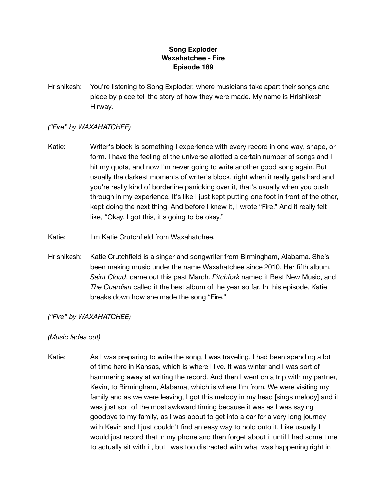## **Song Exploder Waxahatchee - Fire Episode 189**

Hrishikesh: You're listening to Song Exploder, where musicians take apart their songs and piece by piece tell the story of how they were made. My name is Hrishikesh Hirway.

## *("Fire" by WAXAHATCHEE)*

- Katie: Writer's block is something I experience with every record in one way, shape, or form. I have the feeling of the universe allotted a certain number of songs and I hit my quota, and now I'm never going to write another good song again. But usually the darkest moments of writer's block, right when it really gets hard and you're really kind of borderline panicking over it, that's usually when you push through in my experience. It's like I just kept putting one foot in front of the other, kept doing the next thing. And before I knew it, I wrote "Fire." And it really felt like, "Okay. I got this, it's going to be okay."
- Katie: I'm Katie Crutchfield from Waxahatchee.
- Hrishikesh: Katie Crutchfield is a singer and songwriter from Birmingham, Alabama. She's been making music under the name Waxahatchee since 2010. Her fifth album, *Saint Cloud*, came out this past March. *Pitchfork* named it Best New Music, and *The Guardian* called it the best album of the year so far. In this episode, Katie breaks down how she made the song "Fire."

# *("Fire" by WAXAHATCHEE)*

#### *(Music fades out)*

Katie: As I was preparing to write the song, I was traveling. I had been spending a lot of time here in Kansas, which is where I live. It was winter and I was sort of hammering away at writing the record. And then I went on a trip with my partner, Kevin, to Birmingham, Alabama, which is where I'm from. We were visiting my family and as we were leaving, I got this melody in my head [sings melody] and it was just sort of the most awkward timing because it was as I was saying goodbye to my family, as I was about to get into a car for a very long journey with Kevin and I just couldn't find an easy way to hold onto it. Like usually I would just record that in my phone and then forget about it until I had some time to actually sit with it, but I was too distracted with what was happening right in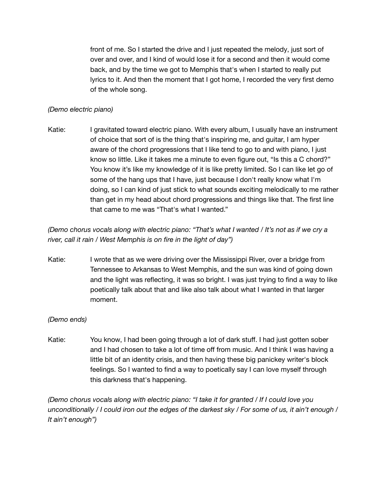front of me. So I started the drive and I just repeated the melody, just sort of over and over, and I kind of would lose it for a second and then it would come back, and by the time we got to Memphis that's when I started to really put lyrics to it. And then the moment that I got home, I recorded the very first demo of the whole song.

## *(Demo electric piano)*

Katie: I gravitated toward electric piano. With every album, I usually have an instrument of choice that sort of is the thing that's inspiring me, and guitar, I am hyper aware of the chord progressions that I like tend to go to and with piano, I just know so little. Like it takes me a minute to even figure out, "Is this a C chord?" You know it's like my knowledge of it is like pretty limited. So I can like let go of some of the hang ups that I have, just because I don't really know what I'm doing, so I can kind of just stick to what sounds exciting melodically to me rather than get in my head about chord progressions and things like that. The first line that came to me was "That's what I wanted."

(Demo chorus vocals along with electric piano: "That's what I wanted / It's not as if we cry a *river, call it rain / West Memphis is on fire in the light of day")*

Katie: I wrote that as we were driving over the Mississippi River, over a bridge from Tennessee to Arkansas to West Memphis, and the sun was kind of going down and the light was reflecting, it was so bright. I was just trying to find a way to like poetically talk about that and like also talk about what I wanted in that larger moment.

#### *(Demo ends)*

Katie: You know, I had been going through a lot of dark stuff. I had just gotten sober and I had chosen to take a lot of time off from music. And I think I was having a little bit of an identity crisis, and then having these big panickey writer's block feelings. So I wanted to find a way to poetically say I can love myself through this darkness that's happening.

*(Demo chorus vocals along with electric piano: "I take it for granted / If I could love you* unconditionally / I could iron out the edges of the darkest sky / For some of us, it ain't enough / *It ain't enough")*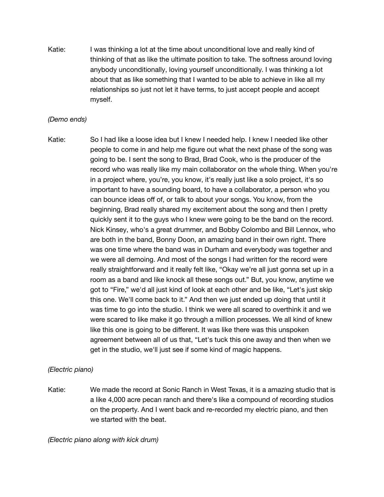Katie: I was thinking a lot at the time about unconditional love and really kind of thinking of that as like the ultimate position to take. The softness around loving anybody unconditionally, loving yourself unconditionally. I was thinking a lot about that as like something that I wanted to be able to achieve in like all my relationships so just not let it have terms, to just accept people and accept myself.

## *(Demo ends)*

Katie: So I had like a loose idea but I knew I needed help. I knew I needed like other people to come in and help me figure out what the next phase of the song was going to be. I sent the song to Brad, Brad Cook, who is the producer of the record who was really like my main collaborator on the whole thing. When you're in a project where, you're, you know, it's really just like a solo project, it's so important to have a sounding board, to have a collaborator, a person who you can bounce ideas off of, or talk to about your songs. You know, from the beginning, Brad really shared my excitement about the song and then I pretty quickly sent it to the guys who I knew were going to be the band on the record. Nick Kinsey, who's a great drummer, and Bobby Colombo and Bill Lennox, who are both in the band, Bonny Doon, an amazing band in their own right. There was one time where the band was in Durham and everybody was together and we were all demoing. And most of the songs I had written for the record were really straightforward and it really felt like, "Okay we're all just gonna set up in a room as a band and like knock all these songs out." But, you know, anytime we got to "Fire," we'd all just kind of look at each other and be like, "Let's just skip this one. We'll come back to it." And then we just ended up doing that until it was time to go into the studio. I think we were all scared to overthink it and we were scared to like make it go through a million processes. We all kind of knew like this one is going to be different. It was like there was this unspoken agreement between all of us that, "Let's tuck this one away and then when we get in the studio, we'll just see if some kind of magic happens.

# *(Electric piano)*

Katie: We made the record at Sonic Ranch in West Texas, it is a amazing studio that is a like 4,000 acre pecan ranch and there's like a compound of recording studios on the property. And I went back and re-recorded my electric piano, and then we started with the beat.

#### *(Electric piano along with kick drum)*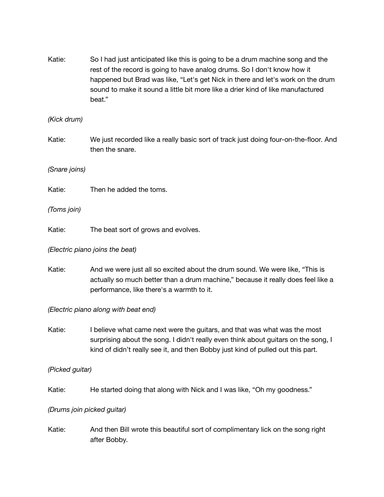Katie: So I had just anticipated like this is going to be a drum machine song and the rest of the record is going to have analog drums. So I don't know how it happened but Brad was like, "Let's get Nick in there and let's work on the drum sound to make it sound a little bit more like a drier kind of like manufactured beat."

#### *(Kick drum)*

Katie: We just recorded like a really basic sort of track just doing four-on-the-floor. And then the snare.

## *(Snare joins)*

Katie: Then he added the toms.

*(Toms join)*

Katie: The beat sort of grows and evolves.

## *(Electric piano joins the beat)*

Katie: And we were just all so excited about the drum sound. We were like, "This is actually so much better than a drum machine," because it really does feel like a performance, like there's a warmth to it.

# *(Electric piano along with beat end)*

Katie: I believe what came next were the guitars, and that was what was the most surprising about the song. I didn't really even think about guitars on the song, I kind of didn't really see it, and then Bobby just kind of pulled out this part.

# *(Picked guitar)*

Katie: He started doing that along with Nick and I was like, "Oh my goodness."

# *(Drums join picked guitar)*

Katie: And then Bill wrote this beautiful sort of complimentary lick on the song right after Bobby.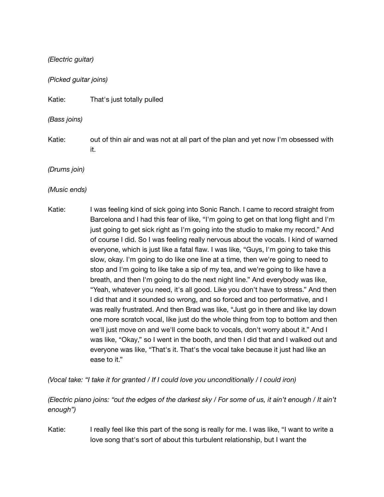## *(Electric guitar)*

## *(Picked guitar joins)*

Katie: That's just totally pulled

*(Bass joins)*

Katie: out of thin air and was not at all part of the plan and yet now I'm obsessed with it.

*(Drums join)*

*(Music ends)*

Katie: I was feeling kind of sick going into Sonic Ranch. I came to record straight from Barcelona and I had this fear of like, "I'm going to get on that long flight and I'm just going to get sick right as I'm going into the studio to make my record." And of course I did. So I was feeling really nervous about the vocals. I kind of warned everyone, which is just like a fatal flaw. I was like, "Guys, I'm going to take this slow, okay. I'm going to do like one line at a time, then we're going to need to stop and I'm going to like take a sip of my tea, and we're going to like have a breath, and then I'm going to do the next night line." And everybody was like, "Yeah, whatever you need, it's all good. Like you don't have to stress." And then I did that and it sounded so wrong, and so forced and too performative, and I was really frustrated. And then Brad was like, "Just go in there and like lay down one more scratch vocal, like just do the whole thing from top to bottom and then we'll just move on and we'll come back to vocals, don't worry about it." And I was like, "Okay," so I went in the booth, and then I did that and I walked out and everyone was like, "That's it. That's the vocal take because it just had like an ease to it."

*(Vocal take: "I take it for granted / If I could love you unconditionally / I could iron)*

(Electric piano joins: "out the edges of the darkest sky / For some of us, it ain't enough / It ain't *enough")*

Katie: I really feel like this part of the song is really for me. I was like, "I want to write a love song that's sort of about this turbulent relationship, but I want the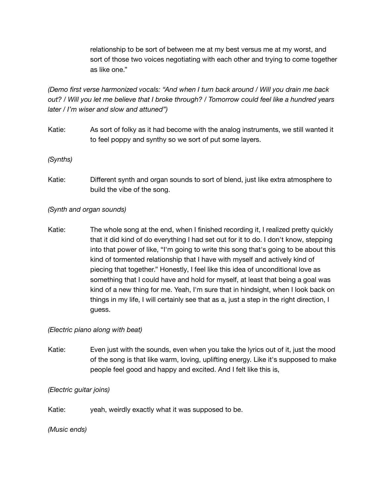relationship to be sort of between me at my best versus me at my worst, and sort of those two voices negotiating with each other and trying to come together as like one."

*(Demo first verse harmonized vocals: "And when I turn back around / Will you drain me back* out? / Will you let me believe that I broke through? / Tomorrow could feel like a hundred years *later / I'm wiser and slow and attuned")*

Katie: As sort of folky as it had become with the analog instruments, we still wanted it to feel poppy and synthy so we sort of put some layers.

*(Synths)*

Katie: Different synth and organ sounds to sort of blend, just like extra atmosphere to build the vibe of the song.

## *(Synth and organ sounds)*

Katie: The whole song at the end, when I finished recording it, I realized pretty quickly that it did kind of do everything I had set out for it to do. I don't know, stepping into that power of like, "I'm going to write this song that's going to be about this kind of tormented relationship that I have with myself and actively kind of piecing that together." Honestly, I feel like this idea of unconditional love as something that I could have and hold for myself, at least that being a goal was kind of a new thing for me. Yeah, I'm sure that in hindsight, when I look back on things in my life, I will certainly see that as a, just a step in the right direction, I guess.

# *(Electric piano along with beat)*

Katie: Even just with the sounds, even when you take the lyrics out of it, just the mood of the song is that like warm, loving, uplifting energy. Like it's supposed to make people feel good and happy and excited. And I felt like this is,

# *(Electric guitar joins)*

Katie: yeah, weirdly exactly what it was supposed to be.

*(Music ends)*